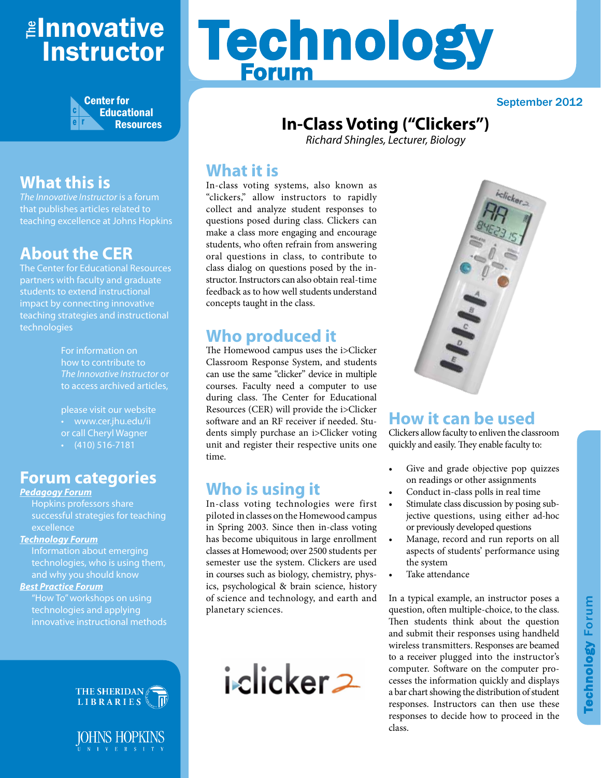# <mark>≇Innovative</mark> Instructor



## **What this is**

*The Innovative Instructor* is a forum that publishes articles related to teaching excellence at Johns Hopkins

## **About the CER**

The Center for Educational Resources partners with faculty and graduate students to extend instructional impact by connecting innovative teaching strategies and instructional technologies

> For information on how to contribute to *The Innovative Instructor* or to access archived articles,

please visit our website • www.cer.jhu.edu/ii or call Cheryl Wagner  $\cdot$  (410) 516-7181

#### **Forum categories**

#### *Pedagogy Forum*

Hopkins professors share successful strategies for teaching excellence

#### *Technology Forum*

Information about emerging technologies, who is using them, and why you should know

#### *Best Practice Forum*

"How To" workshops on using technologies and applying innovative instructional methods





# Technology Forum

#### September 2012

## **In-Class Voting ("Clickers")**

*Richard Shingles, Lecturer, Biology*

#### **What it is**

In-class voting systems, also known as "clickers," allow instructors to rapidly collect and analyze student responses to questions posed during class. Clickers can make a class more engaging and encourage students, who often refrain from answering oral questions in class, to contribute to class dialog on questions posed by the instructor. Instructors can also obtain real-time feedback as to how well students understand concepts taught in the class.

## **Who produced it**

The Homewood campus uses the i>Clicker Classroom Response System, and students can use the same "clicker" device in multiple courses. Faculty need a computer to use during class. The Center for Educational Resources (CER) will provide the i>Clicker software and an RF receiver if needed. Students simply purchase an i>Clicker voting unit and register their respective units one time.

## **Who is using it**

In-class voting technologies were first piloted in classes on the Homewood campus in Spring 2003. Since then in-class voting has become ubiquitous in large enrollment classes at Homewood; over 2500 students per semester use the system. Clickers are used in courses such as biology, chemistry, physics, psychological & brain science, history of science and technology, and earth and planetary sciences.





## **How it can be used**

Clickers allow faculty to enliven the classroom quickly and easily. They enable faculty to:

- Give and grade objective pop quizzes on readings or other assignments
- Conduct in-class polls in real time
- Stimulate class discussion by posing subjective questions, using either ad-hoc or previously developed questions
- Manage, record and run reports on all aspects of students' performance using the system
- Take attendance

In a typical example, an instructor poses a question, often multiple-choice, to the class. Then students think about the question and submit their responses using handheld wireless transmitters. Responses are beamed to a receiver plugged into the instructor's computer. Software on the computer processes the information quickly and displays a bar chart showing the distribution of student responses. Instructors can then use these responses to decide how to proceed in the class.